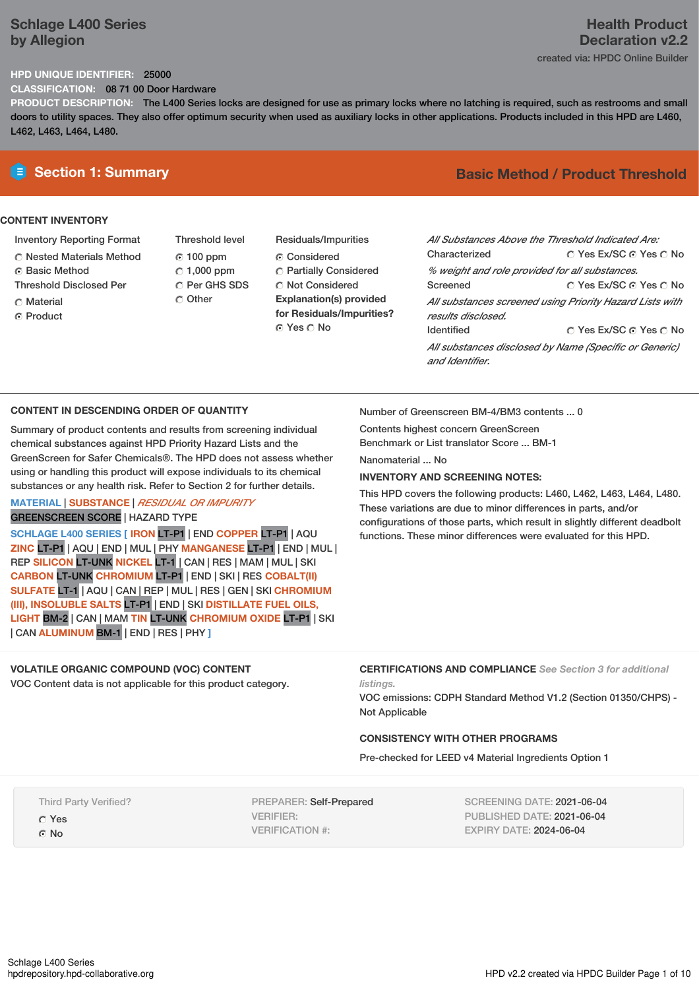# **Schlage L400 Series by Allegion**

# **Health Product Declaration v2.2**

created via: HPDC Online Builder

#### **HPD UNIQUE IDENTIFIER:** 25000

**CLASSIFICATION:** 08 71 00 Door Hardware

**PRODUCT DESCRIPTION:** The L400 Series locks are designed for use as primary locks where no latching is required, such as restrooms and small doors to utility spaces. They also offer optimum security when used as auxiliary locks in other applications. Products included in this HPD are L460, L462, L463, L464, L480.

#### **CONTENT INVENTORY**

- Inventory Reporting Format
- Nested Materials Method
- **G** Basic Method
- Threshold Disclosed Per
- C Material
- ⊙ Product
- Threshold level 100 ppm  $C$  1,000 ppm C Per GHS SDS C Other
- Residuals/Impurities Considered Partially Considered C Not Considered **Explanation(s) provided for Residuals/Impurities?** ⊙ Yes O No

# **E** Section 1: Summary **Basic Method / Product Threshold**

| All Substances Above the Threshold Indicated Are:<br>Characterized        | ∩ Yes Ex/SC ∩ Yes ∩ No                                   |
|---------------------------------------------------------------------------|----------------------------------------------------------|
| % weight and role provided for all substances.                            |                                                          |
| Screened                                                                  | ∩ Yes Ex/SC ∩ Yes ∩ No                                   |
| results disclosed.                                                        | All substances screened using Priority Hazard Lists with |
| <b>Identified</b>                                                         | ○ Yes Ex/SC ⊙ Yes ○ No                                   |
| All substances disclosed by Name (Specific or Generic)<br>and Identifier. |                                                          |

### **CONTENT IN DESCENDING ORDER OF QUANTITY**

Summary of product contents and results from screening individual chemical substances against HPD Priority Hazard Lists and the GreenScreen for Safer Chemicals®. The HPD does not assess whether using or handling this product will expose individuals to its chemical substances or any health risk. Refer to Section 2 for further details.

#### **MATERIAL** | **SUBSTANCE** | *RESIDUAL OR IMPURITY* GREENSCREEN SCORE | HAZARD TYPE

**SCHLAGE L400 SERIES [ IRON** LT-P1 | END **COPPER** LT-P1 | AQU **ZINC** LT-P1 | AQU | END | MUL | PHY **MANGANESE** LT-P1 | END | MUL | REP **SILICON** LT-UNK **NICKEL** LT-1 | CAN | RES | MAM | MUL | SKI **CARBON** LT-UNK **CHROMIUM** LT-P1 | END | SKI | RES **COBALT(II) SULFATE** LT-1 | AQU | CAN | REP | MUL | RES | GEN | SKI **CHROMIUM (III), INSOLUBLE SALTS** LT-P1 | END | SKI **DISTILLATE FUEL OILS, LIGHT** BM-2 | CAN | MAM **TIN** LT-UNK **CHROMIUM OXIDE** LT-P1 | SKI | CAN **ALUMINUM** BM-1 | END | RES | PHY **]**

### **VOLATILE ORGANIC COMPOUND (VOC) CONTENT**

VOC Content data is not applicable for this product category.

Number of Greenscreen BM-4/BM3 contents ... 0

Contents highest concern GreenScreen Benchmark or List translator Score ... BM-1

Nanomaterial No.

#### **INVENTORY AND SCREENING NOTES:**

This HPD covers the following products: L460, L462, L463, L464, L480. These variations are due to minor differences in parts, and/or configurations of those parts, which result in slightly different deadbolt functions. These minor differences were evaluated for this HPD.

#### **CERTIFICATIONS AND COMPLIANCE** *See Section 3 for additional listings.*

VOC emissions: CDPH Standard Method V1.2 (Section 01350/CHPS) - Not Applicable

#### **CONSISTENCY WITH OTHER PROGRAMS**

Pre-checked for LEED v4 Material Ingredients Option 1

Third Party Verified?

Yes G No

PREPARER: Self-Prepared VERIFIER: VERIFICATION #:

SCREENING DATE: 2021-06-04 PUBLISHED DATE: 2021-06-04 EXPIRY DATE: 2024-06-04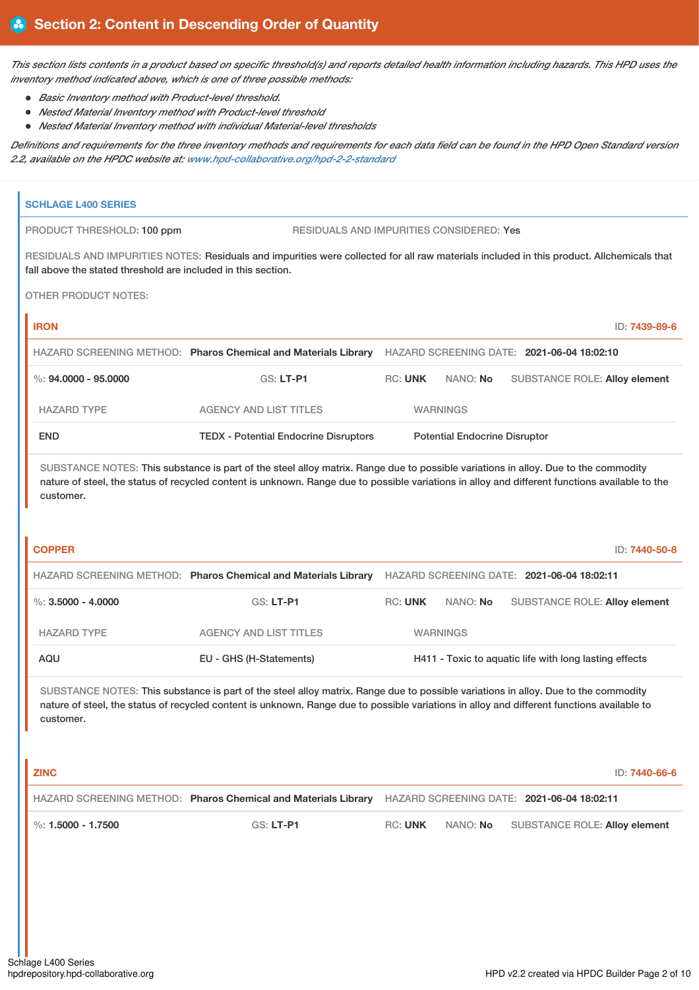This section lists contents in a product based on specific threshold(s) and reports detailed health information including hazards. This HPD uses the *inventory method indicated above, which is one of three possible methods:*

- *Basic Inventory method with Product-level threshold.*
- *Nested Material Inventory method with Product-level threshold*
- *Nested Material Inventory method with individual Material-level thresholds*

Definitions and requirements for the three inventory methods and requirements for each data field can be found in the HPD Open Standard version *2.2, available on the HPDC website at: [www.hpd-collaborative.org/hpd-2-2-standard](https://www.hpd-collaborative.org/hpd-2-2-standard)*

| <b>SCHLAGE L400 SERIES</b>                                    |                                                                                                                                                                                                                                                                                      |                |                                      |                                            |                                                        |
|---------------------------------------------------------------|--------------------------------------------------------------------------------------------------------------------------------------------------------------------------------------------------------------------------------------------------------------------------------------|----------------|--------------------------------------|--------------------------------------------|--------------------------------------------------------|
| PRODUCT THRESHOLD: 100 ppm                                    | <b>RESIDUALS AND IMPURITIES CONSIDERED: Yes</b>                                                                                                                                                                                                                                      |                |                                      |                                            |                                                        |
| fall above the stated threshold are included in this section. | RESIDUALS AND IMPURITIES NOTES: Residuals and impurities were collected for all raw materials included in this product. Allchemicals that                                                                                                                                            |                |                                      |                                            |                                                        |
| <b>OTHER PRODUCT NOTES:</b>                                   |                                                                                                                                                                                                                                                                                      |                |                                      |                                            |                                                        |
| <b>IRON</b>                                                   |                                                                                                                                                                                                                                                                                      |                |                                      |                                            | ID: 7439-89-6                                          |
|                                                               | HAZARD SCREENING METHOD: Pharos Chemical and Materials Library                                                                                                                                                                                                                       |                |                                      | HAZARD SCREENING DATE: 2021-06-04 18:02:10 |                                                        |
| $\%$ : 94.0000 - 95.0000                                      | GS: LT-P1                                                                                                                                                                                                                                                                            | <b>RC: UNK</b> | NANO: No                             |                                            | <b>SUBSTANCE ROLE: Alloy element</b>                   |
| <b>HAZARD TYPE</b>                                            | <b>AGENCY AND LIST TITLES</b>                                                                                                                                                                                                                                                        |                | <b>WARNINGS</b>                      |                                            |                                                        |
| <b>END</b>                                                    | <b>TEDX - Potential Endocrine Disruptors</b>                                                                                                                                                                                                                                         |                | <b>Potential Endocrine Disruptor</b> |                                            |                                                        |
| customer.<br><b>COPPER</b>                                    | SUBSTANCE NOTES: This substance is part of the steel alloy matrix. Range due to possible variations in alloy. Due to the commodity<br>nature of steel, the status of recycled content is unknown. Range due to possible variations in alloy and different functions available to the |                |                                      |                                            | ID: 7440-50-8                                          |
|                                                               | HAZARD SCREENING METHOD: Pharos Chemical and Materials Library HAZARD SCREENING DATE: 2021-06-04 18:02:11                                                                                                                                                                            |                |                                      |                                            |                                                        |
| $\%$ : 3.5000 - 4.0000                                        | <b>GS: LT-P1</b>                                                                                                                                                                                                                                                                     | <b>RC: UNK</b> | NANO: No                             |                                            | <b>SUBSTANCE ROLE: Alloy element</b>                   |
| <b>HAZARD TYPE</b>                                            | <b>AGENCY AND LIST TITLES</b>                                                                                                                                                                                                                                                        |                | <b>WARNINGS</b>                      |                                            |                                                        |
| <b>AQU</b>                                                    | EU - GHS (H-Statements)                                                                                                                                                                                                                                                              |                |                                      |                                            | H411 - Toxic to aquatic life with long lasting effects |
| customer.<br><b>ZINC</b>                                      | SUBSTANCE NOTES: This substance is part of the steel alloy matrix. Range due to possible variations in alloy. Due to the commodity<br>nature of steel, the status of recycled content is unknown. Range due to possible variations in alloy and different functions available to     |                |                                      |                                            | ID: 7440-66-6                                          |
|                                                               | HAZARD SCREENING METHOD: Pharos Chemical and Materials Library HAZARD SCREENING DATE: 2021-06-04 18:02:11                                                                                                                                                                            |                |                                      |                                            |                                                        |
| %: $1.5000 - 1.7500$                                          | GS: LT-P1                                                                                                                                                                                                                                                                            | <b>RC: UNK</b> | NANO: No                             |                                            | <b>SUBSTANCE ROLE: Alloy element</b>                   |
|                                                               |                                                                                                                                                                                                                                                                                      |                |                                      |                                            |                                                        |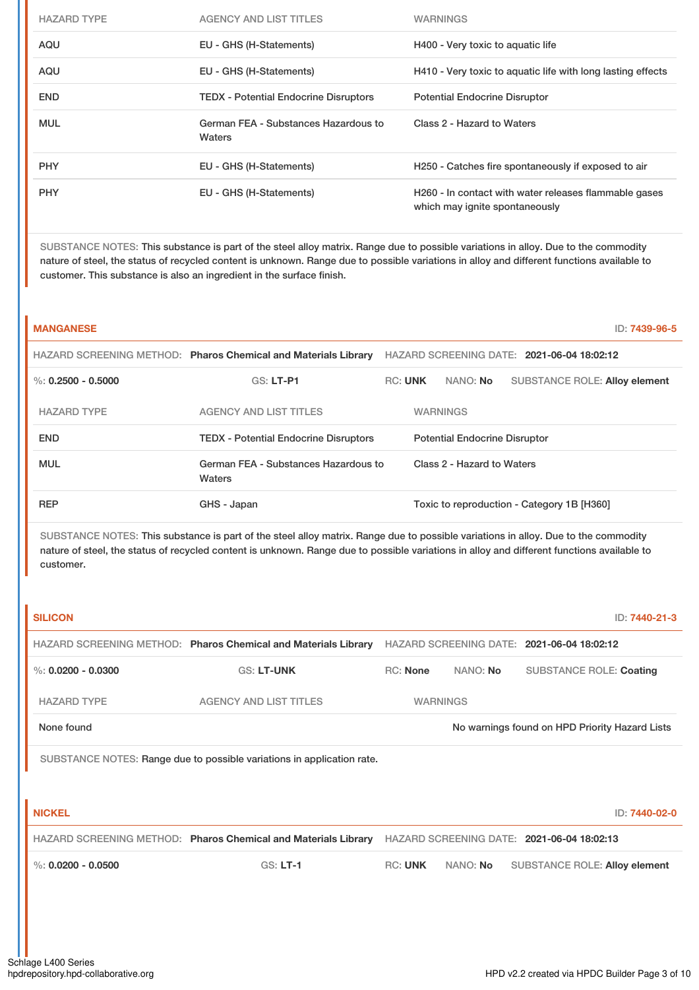| AQU<br>EU - GHS (H-Statements)<br>H400 - Very toxic to aquatic life<br>AQU<br>EU - GHS (H-Statements)<br>H410 - Very toxic to aquatic life with long lasting effects<br><b>END</b><br><b>TEDX</b> - Potential Endocrine Disruptors<br><b>Potential Endocrine Disruptor</b><br><b>MUL</b><br>German FEA - Substances Hazardous to<br>Class 2 - Hazard to Waters<br>Waters<br><b>PHY</b><br>EU - GHS (H-Statements)<br>H250 - Catches fire spontaneously if exposed to air<br><b>PHY</b><br>EU - GHS (H-Statements)<br>H260 - In contact with water releases flammable gases<br>which may ignite spontaneously | <b>HAZARD TYPE</b> | <b>AGENCY AND LIST TITLES</b> | <b>WARNINGS</b> |
|--------------------------------------------------------------------------------------------------------------------------------------------------------------------------------------------------------------------------------------------------------------------------------------------------------------------------------------------------------------------------------------------------------------------------------------------------------------------------------------------------------------------------------------------------------------------------------------------------------------|--------------------|-------------------------------|-----------------|
|                                                                                                                                                                                                                                                                                                                                                                                                                                                                                                                                                                                                              |                    |                               |                 |
|                                                                                                                                                                                                                                                                                                                                                                                                                                                                                                                                                                                                              |                    |                               |                 |
|                                                                                                                                                                                                                                                                                                                                                                                                                                                                                                                                                                                                              |                    |                               |                 |
|                                                                                                                                                                                                                                                                                                                                                                                                                                                                                                                                                                                                              |                    |                               |                 |
|                                                                                                                                                                                                                                                                                                                                                                                                                                                                                                                                                                                                              |                    |                               |                 |
|                                                                                                                                                                                                                                                                                                                                                                                                                                                                                                                                                                                                              |                    |                               |                 |

SUBSTANCE NOTES: This substance is part of the steel alloy matrix. Range due to possible variations in alloy. Due to the commodity nature of steel, the status of recycled content is unknown. Range due to possible variations in alloy and different functions available to customer. This substance is also an ingredient in the surface finish.

| <b>MANGANESE</b>     |                                                                |                |                                      |                                            | ID: 7439-96-5 |
|----------------------|----------------------------------------------------------------|----------------|--------------------------------------|--------------------------------------------|---------------|
|                      | HAZARD SCREENING METHOD: Pharos Chemical and Materials Library |                |                                      | HAZARD SCREENING DATE: 2021-06-04 18:02:12 |               |
| %: $0.2500 - 0.5000$ | <b>GS: LT-P1</b>                                               | <b>RC: UNK</b> | NANO: No                             | <b>SUBSTANCE ROLE: Alloy element</b>       |               |
| <b>HAZARD TYPE</b>   | <b>AGENCY AND LIST TITLES</b>                                  |                | <b>WARNINGS</b>                      |                                            |               |
| <b>END</b>           | <b>TEDX</b> - Potential Endocrine Disruptors                   |                | <b>Potential Endocrine Disruptor</b> |                                            |               |
| <b>MUL</b>           | German FEA - Substances Hazardous to<br>Waters                 |                | Class 2 - Hazard to Waters           |                                            |               |
| <b>REP</b>           | GHS - Japan                                                    |                |                                      | Toxic to reproduction - Category 1B [H360] |               |

| <b>SILICON</b>       |                                                                        |                 |                 | ID: 7440-21-3                                  |
|----------------------|------------------------------------------------------------------------|-----------------|-----------------|------------------------------------------------|
|                      | HAZARD SCREENING METHOD: Pharos Chemical and Materials Library         |                 |                 | HAZARD SCREENING DATE: 2021-06-04 18:02:12     |
| %: $0.0200 - 0.0300$ | <b>GS: LT-UNK</b>                                                      | <b>RC: None</b> | NANO: No        | <b>SUBSTANCE ROLE: Coating</b>                 |
| <b>HAZARD TYPE</b>   | <b>AGENCY AND LIST TITLES</b>                                          |                 | <b>WARNINGS</b> |                                                |
| None found           |                                                                        |                 |                 | No warnings found on HPD Priority Hazard Lists |
|                      | SUBSTANCE NOTES: Range due to possible variations in application rate. |                 |                 |                                                |
|                      |                                                                        |                 |                 |                                                |
| <b>NICKEL</b>        |                                                                        |                 |                 | ID: 7440-02-0                                  |
|                      | HAZARD SCREENING METHOD: Pharos Chemical and Materials Library         |                 |                 | HAZARD SCREENING DATE: 2021-06-04 18:02:13     |
| %: $0.0200 - 0.0500$ | $GS: LT-1$                                                             | <b>RC: UNK</b>  | NANO: No        | <b>SUBSTANCE ROLE: Alloy element</b>           |
|                      |                                                                        |                 |                 |                                                |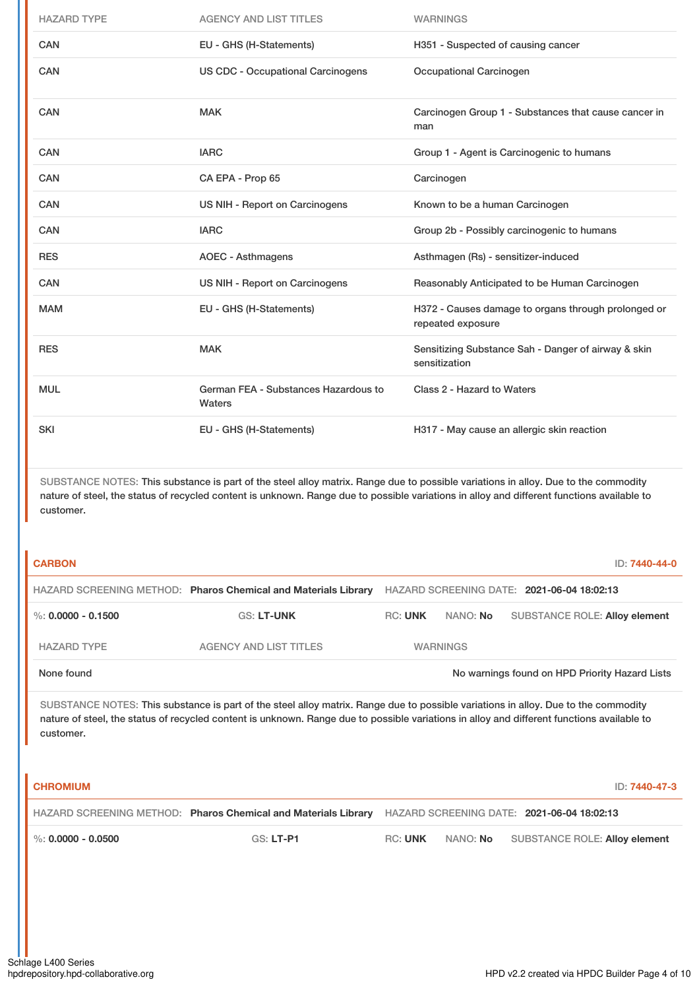| <b>HAZARD TYPE</b> | <b>AGENCY AND LIST TITLES</b>                  | <b>WARNINGS</b>                                                          |
|--------------------|------------------------------------------------|--------------------------------------------------------------------------|
| CAN                | EU - GHS (H-Statements)                        | H351 - Suspected of causing cancer                                       |
| <b>CAN</b>         | <b>US CDC - Occupational Carcinogens</b>       | Occupational Carcinogen                                                  |
| CAN                | <b>MAK</b>                                     | Carcinogen Group 1 - Substances that cause cancer in<br>man              |
| <b>CAN</b>         | <b>IARC</b>                                    | Group 1 - Agent is Carcinogenic to humans                                |
| <b>CAN</b>         | CA EPA - Prop 65                               | Carcinogen                                                               |
| <b>CAN</b>         | US NIH - Report on Carcinogens                 | Known to be a human Carcinogen                                           |
| <b>CAN</b>         | <b>IARC</b>                                    | Group 2b - Possibly carcinogenic to humans                               |
| <b>RES</b>         | <b>AOEC - Asthmagens</b>                       | Asthmagen (Rs) - sensitizer-induced                                      |
| <b>CAN</b>         | US NIH - Report on Carcinogens                 | Reasonably Anticipated to be Human Carcinogen                            |
| <b>MAM</b>         | EU - GHS (H-Statements)                        | H372 - Causes damage to organs through prolonged or<br>repeated exposure |
| <b>RES</b>         | <b>MAK</b>                                     | Sensitizing Substance Sah - Danger of airway & skin<br>sensitization     |
| <b>MUL</b>         | German FEA - Substances Hazardous to<br>Waters | Class 2 - Hazard to Waters                                               |
| <b>SKI</b>         | EU - GHS (H-Statements)                        | H317 - May cause an allergic skin reaction                               |

SUBSTANCE NOTES: This substance is part of the steel alloy matrix. Range due to possible variations in alloy. Due to the commodity nature of steel, the status of recycled content is unknown. Range due to possible variations in alloy and different functions available to customer.

| <b>CARBON</b>          |                                                                |                |                 |                                                | ID: 7440-44-0 |
|------------------------|----------------------------------------------------------------|----------------|-----------------|------------------------------------------------|---------------|
|                        | HAZARD SCREENING METHOD: Pharos Chemical and Materials Library |                |                 | HAZARD SCREENING DATE: 2021-06-04 18:02:13     |               |
| $\%$ : 0.0000 - 0.1500 | <b>GS: LT-UNK</b>                                              | <b>RC: UNK</b> | NANO: <b>No</b> | <b>SUBSTANCE ROLE: Alloy element</b>           |               |
| <b>HAZARD TYPE</b>     | AGENCY AND LIST TITLES                                         |                | <b>WARNINGS</b> |                                                |               |
| None found             |                                                                |                |                 | No warnings found on HPD Priority Hazard Lists |               |

| <b>CHROMIUM</b>        |                                                                                                           |                | ID: 7440-47-3                          |
|------------------------|-----------------------------------------------------------------------------------------------------------|----------------|----------------------------------------|
|                        | HAZARD SCREENING METHOD: Pharos Chemical and Materials Library HAZARD SCREENING DATE: 2021-06-04 18:02:13 |                |                                        |
| $\%$ : 0.0000 - 0.0500 | GS: LT-P1                                                                                                 | <b>RC: UNK</b> | NANO: No SUBSTANCE ROLE: Alloy element |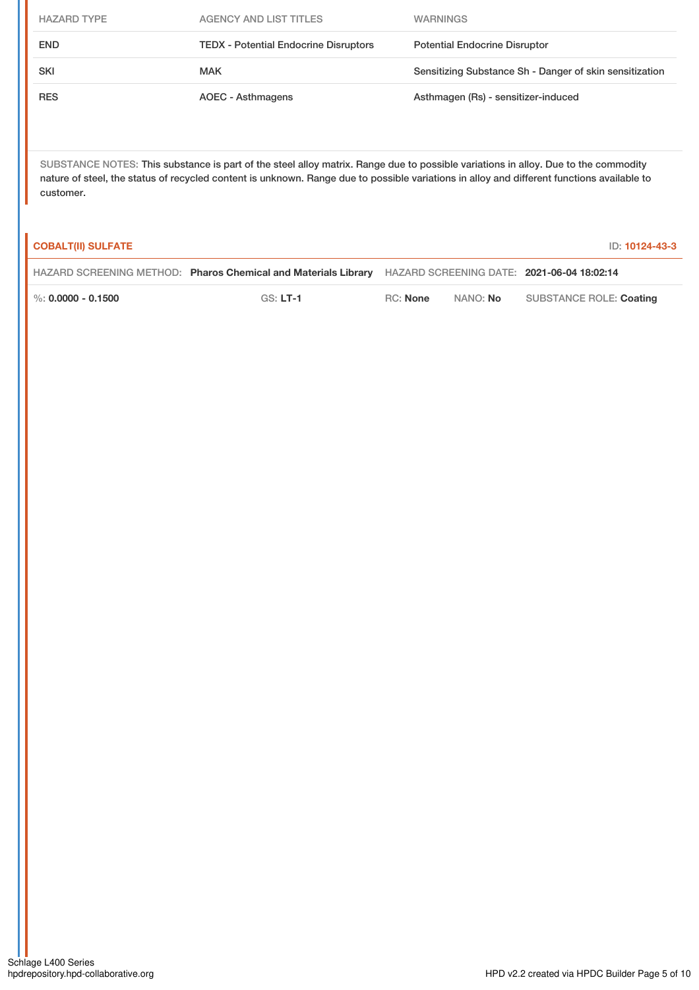| <b>HAZARD TYPE</b> | AGENCY AND LIST TITLES                       | <b>WARNINGS</b>                                         |
|--------------------|----------------------------------------------|---------------------------------------------------------|
| <b>END</b>         | <b>TEDX</b> - Potential Endocrine Disruptors | <b>Potential Endocrine Disruptor</b>                    |
| <b>SKI</b>         | <b>MAK</b>                                   | Sensitizing Substance Sh - Danger of skin sensitization |
| <b>RES</b>         | AOEC - Asthmagens                            | Asthmagen (Rs) - sensitizer-induced                     |

| <b>COBALT(II) SULFATE</b> |                                                                                                           |                 |          | ID: 10124-43-3          |
|---------------------------|-----------------------------------------------------------------------------------------------------------|-----------------|----------|-------------------------|
|                           | HAZARD SCREENING METHOD: Pharos Chemical and Materials Library HAZARD SCREENING DATE: 2021-06-04 18:02:14 |                 |          |                         |
| $\%$ : 0.0000 - 0.1500    | $GS: LT-1$                                                                                                | <b>RC:</b> None | NANO: No | SUBSTANCE ROLE: Coating |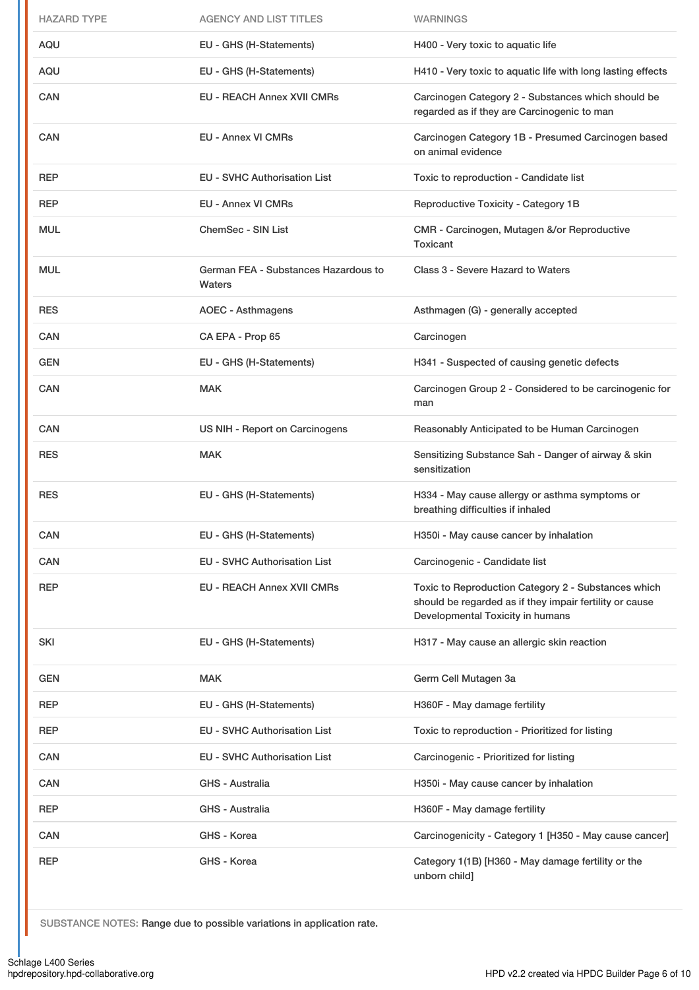| <b>HAZARD TYPE</b> | <b>AGENCY AND LIST TITLES</b>                  | <b>WARNINGS</b>                                                                                                                                    |
|--------------------|------------------------------------------------|----------------------------------------------------------------------------------------------------------------------------------------------------|
| AQU                | EU - GHS (H-Statements)                        | H400 - Very toxic to aquatic life                                                                                                                  |
| AQU                | EU - GHS (H-Statements)                        | H410 - Very toxic to aquatic life with long lasting effects                                                                                        |
| <b>CAN</b>         | <b>EU - REACH Annex XVII CMRs</b>              | Carcinogen Category 2 - Substances which should be<br>regarded as if they are Carcinogenic to man                                                  |
| <b>CAN</b>         | <b>EU - Annex VI CMRs</b>                      | Carcinogen Category 1B - Presumed Carcinogen based<br>on animal evidence                                                                           |
| <b>REP</b>         | <b>EU - SVHC Authorisation List</b>            | Toxic to reproduction - Candidate list                                                                                                             |
| <b>REP</b>         | <b>EU - Annex VI CMRs</b>                      | Reproductive Toxicity - Category 1B                                                                                                                |
| <b>MUL</b>         | ChemSec - SIN List                             | CMR - Carcinogen, Mutagen &/or Reproductive<br>Toxicant                                                                                            |
| <b>MUL</b>         | German FEA - Substances Hazardous to<br>Waters | Class 3 - Severe Hazard to Waters                                                                                                                  |
| <b>RES</b>         | <b>AOEC - Asthmagens</b>                       | Asthmagen (G) - generally accepted                                                                                                                 |
| CAN                | CA EPA - Prop 65                               | Carcinogen                                                                                                                                         |
| <b>GEN</b>         | EU - GHS (H-Statements)                        | H341 - Suspected of causing genetic defects                                                                                                        |
| <b>CAN</b>         | <b>MAK</b>                                     | Carcinogen Group 2 - Considered to be carcinogenic for<br>man                                                                                      |
| <b>CAN</b>         | US NIH - Report on Carcinogens                 | Reasonably Anticipated to be Human Carcinogen                                                                                                      |
| <b>RES</b>         | <b>MAK</b>                                     | Sensitizing Substance Sah - Danger of airway & skin<br>sensitization                                                                               |
| <b>RES</b>         | EU - GHS (H-Statements)                        | H334 - May cause allergy or asthma symptoms or<br>breathing difficulties if inhaled                                                                |
| CAN                | EU - GHS (H-Statements)                        | H350i - May cause cancer by inhalation                                                                                                             |
| CAN                | <b>EU - SVHC Authorisation List</b>            | Carcinogenic - Candidate list                                                                                                                      |
| <b>REP</b>         | <b>EU - REACH Annex XVII CMRs</b>              | Toxic to Reproduction Category 2 - Substances which<br>should be regarded as if they impair fertility or cause<br>Developmental Toxicity in humans |
| SKI                | EU - GHS (H-Statements)                        | H317 - May cause an allergic skin reaction                                                                                                         |
| <b>GEN</b>         | <b>MAK</b>                                     | Germ Cell Mutagen 3a                                                                                                                               |
| <b>REP</b>         | EU - GHS (H-Statements)                        | H360F - May damage fertility                                                                                                                       |
| <b>REP</b>         | EU - SVHC Authorisation List                   | Toxic to reproduction - Prioritized for listing                                                                                                    |
| CAN                | EU - SVHC Authorisation List                   | Carcinogenic - Prioritized for listing                                                                                                             |
| CAN                | GHS - Australia                                | H350i - May cause cancer by inhalation                                                                                                             |
| <b>REP</b>         | GHS - Australia                                | H360F - May damage fertility                                                                                                                       |
| CAN                | GHS - Korea                                    | Carcinogenicity - Category 1 [H350 - May cause cancer]                                                                                             |
| REP                | GHS - Korea                                    | Category 1(1B) [H360 - May damage fertility or the<br>unborn child]                                                                                |

SUBSTANCE NOTES: Range due to possible variations in application rate.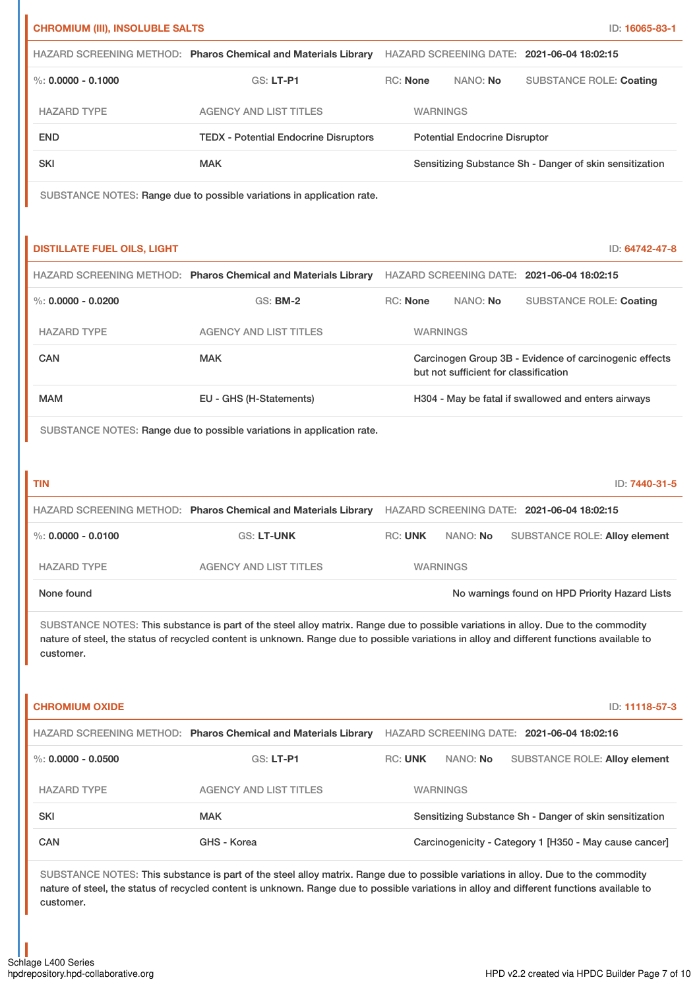|                                               |                                                                                                                                                                                                                                                                                  |                  |                                       | ID: 16065-83-1                                          |
|-----------------------------------------------|----------------------------------------------------------------------------------------------------------------------------------------------------------------------------------------------------------------------------------------------------------------------------------|------------------|---------------------------------------|---------------------------------------------------------|
|                                               | HAZARD SCREENING METHOD: Pharos Chemical and Materials Library HAZARD SCREENING DATE: 2021-06-04 18:02:15                                                                                                                                                                        |                  |                                       |                                                         |
| %: $0.0000 - 0.1000$                          | GS: LT-P1                                                                                                                                                                                                                                                                        | <b>RC: None</b>  | NANO: No                              | <b>SUBSTANCE ROLE: Coating</b>                          |
| <b>HAZARD TYPE</b>                            | <b>AGENCY AND LIST TITLES</b>                                                                                                                                                                                                                                                    | <b>WARNINGS</b>  |                                       |                                                         |
| <b>END</b>                                    | <b>TEDX - Potential Endocrine Disruptors</b>                                                                                                                                                                                                                                     |                  | <b>Potential Endocrine Disruptor</b>  |                                                         |
| <b>SKI</b>                                    | <b>MAK</b>                                                                                                                                                                                                                                                                       |                  |                                       | Sensitizing Substance Sh - Danger of skin sensitization |
|                                               | SUBSTANCE NOTES: Range due to possible variations in application rate.                                                                                                                                                                                                           |                  |                                       |                                                         |
|                                               |                                                                                                                                                                                                                                                                                  |                  |                                       |                                                         |
| <b>DISTILLATE FUEL OILS, LIGHT</b>            |                                                                                                                                                                                                                                                                                  |                  |                                       | ID: 64742-47-8                                          |
|                                               | HAZARD SCREENING METHOD: Pharos Chemical and Materials Library HAZARD SCREENING DATE: 2021-06-04 18:02:15                                                                                                                                                                        |                  |                                       |                                                         |
| $\%$ : 0.0000 - 0.0200                        | <b>GS: BM-2</b>                                                                                                                                                                                                                                                                  | RC: None         | NANO: No                              | <b>SUBSTANCE ROLE: Coating</b>                          |
| <b>HAZARD TYPE</b>                            | <b>AGENCY AND LIST TITLES</b>                                                                                                                                                                                                                                                    | <b>WARNINGS</b>  |                                       |                                                         |
| <b>CAN</b>                                    | <b>MAK</b>                                                                                                                                                                                                                                                                       |                  | but not sufficient for classification | Carcinogen Group 3B - Evidence of carcinogenic effects  |
| <b>MAM</b>                                    | EU - GHS (H-Statements)                                                                                                                                                                                                                                                          |                  |                                       | H304 - May be fatal if swallowed and enters airways     |
| <b>TIN</b>                                    | HAZARD SCREENING METHOD: Pharos Chemical and Materials Library HAZARD SCREENING DATE: 2021-06-04 18:02:15                                                                                                                                                                        |                  |                                       | ID: 7440-31-5                                           |
| $\%$ : 0.0000 - 0.0100                        |                                                                                                                                                                                                                                                                                  |                  |                                       |                                                         |
|                                               | <b>GS: LT-UNK</b>                                                                                                                                                                                                                                                                | RC: UNK NANO: No |                                       | SUBSTANCE ROLE: Alloy element                           |
| <b>HAZARD TYPE</b>                            | <b>AGENCY AND LIST TITLES</b>                                                                                                                                                                                                                                                    | <b>WARNINGS</b>  |                                       |                                                         |
| None found                                    |                                                                                                                                                                                                                                                                                  |                  |                                       | No warnings found on HPD Priority Hazard Lists          |
| customer.                                     | SUBSTANCE NOTES: This substance is part of the steel alloy matrix. Range due to possible variations in alloy. Due to the commodity<br>nature of steel, the status of recycled content is unknown. Range due to possible variations in alloy and different functions available to |                  |                                       |                                                         |
|                                               |                                                                                                                                                                                                                                                                                  |                  |                                       | ID: 11118-57-3                                          |
|                                               | HAZARD SCREENING METHOD: Pharos Chemical and Materials Library HAZARD SCREENING DATE: 2021-06-04 18:02:16                                                                                                                                                                        |                  |                                       |                                                         |
| <b>CHROMIUM OXIDE</b><br>%: $0.0000 - 0.0500$ | GS: LT-P1                                                                                                                                                                                                                                                                        | <b>RC: UNK</b>   | NANO: No                              | SUBSTANCE ROLE: Alloy element                           |
| <b>HAZARD TYPE</b>                            | <b>AGENCY AND LIST TITLES</b>                                                                                                                                                                                                                                                    | <b>WARNINGS</b>  |                                       |                                                         |
| SKI                                           | <b>MAK</b>                                                                                                                                                                                                                                                                       |                  |                                       | Sensitizing Substance Sh - Danger of skin sensitization |
| CAN                                           | GHS - Korea                                                                                                                                                                                                                                                                      |                  |                                       | Carcinogenicity - Category 1 [H350 - May cause cancer]  |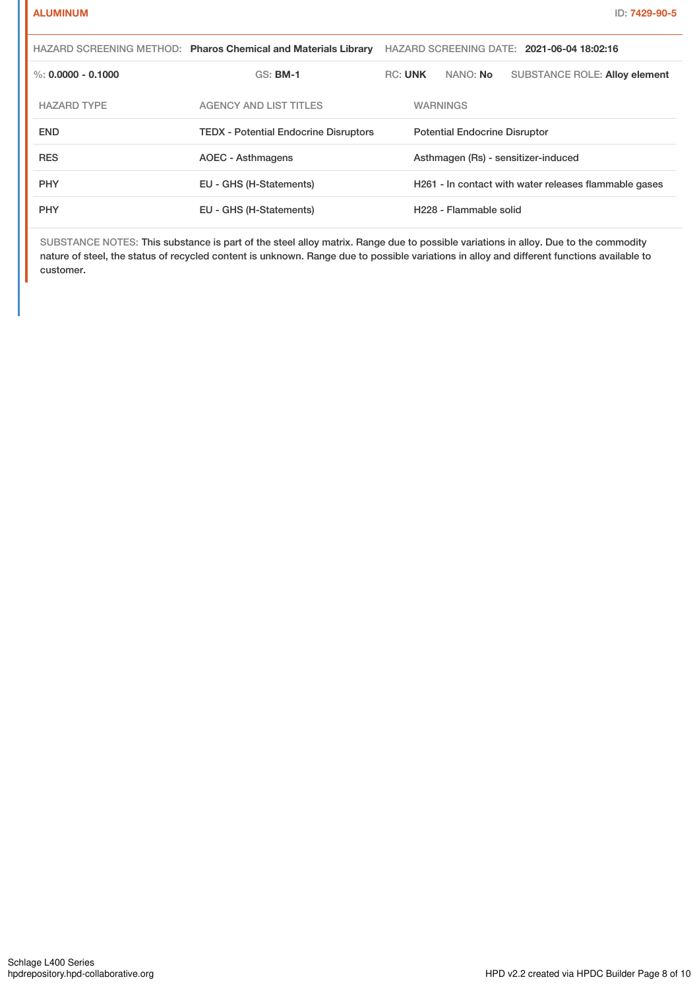|                      | HAZARD SCREENING METHOD: Pharos Chemical and Materials Library | HAZARD SCREENING DATE: 2021-06-04 18:02:16 |                                                       |                 |                                      |  |
|----------------------|----------------------------------------------------------------|--------------------------------------------|-------------------------------------------------------|-----------------|--------------------------------------|--|
| %: $0.0000 - 0.1000$ | <b>GS: BM-1</b>                                                | <b>RC: UNK</b>                             |                                                       | NANO: <b>No</b> | <b>SUBSTANCE ROLE: Alloy element</b> |  |
| <b>HAZARD TYPE</b>   | <b>AGENCY AND LIST TITLES</b>                                  |                                            | <b>WARNINGS</b>                                       |                 |                                      |  |
| <b>END</b>           | <b>TEDX</b> - Potential Endocrine Disruptors                   | <b>Potential Endocrine Disruptor</b>       |                                                       |                 |                                      |  |
| <b>RES</b>           | AOEC - Asthmagens                                              |                                            | Asthmagen (Rs) - sensitizer-induced                   |                 |                                      |  |
| <b>PHY</b>           | EU - GHS (H-Statements)                                        |                                            | H261 - In contact with water releases flammable gases |                 |                                      |  |
| <b>PHY</b>           | EU - GHS (H-Statements)                                        | H <sub>228</sub> - Flammable solid         |                                                       |                 |                                      |  |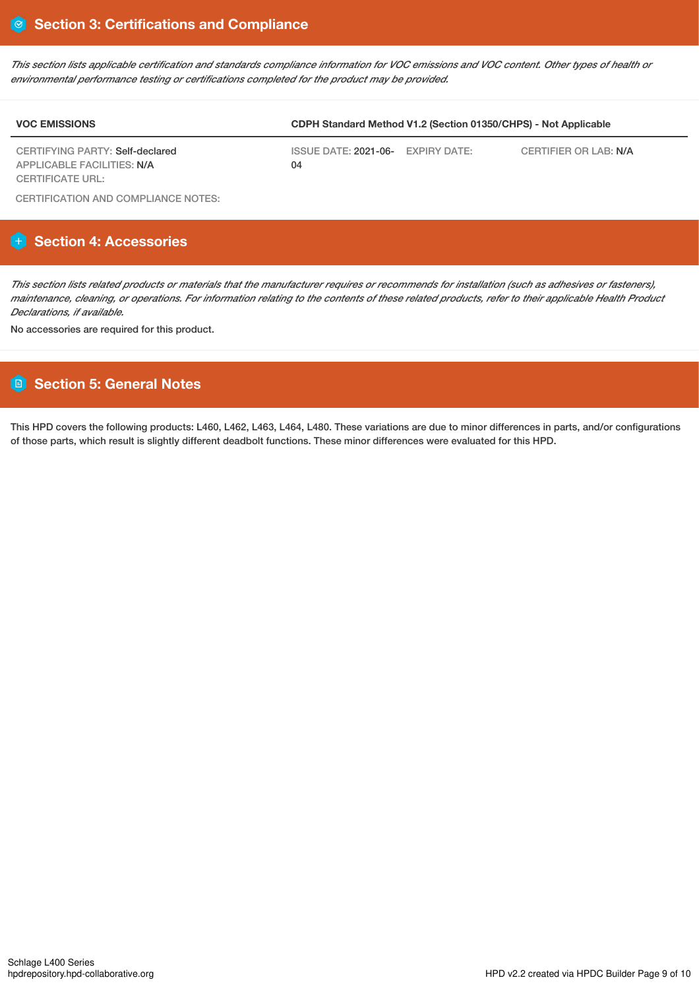This section lists applicable certification and standards compliance information for VOC emissions and VOC content. Other types of health or *environmental performance testing or certifications completed for the product may be provided.*

| <b>VOC EMISSIONS</b>                           | CDPH Standard Method V1.2 (Section 01350/CHPS) - Not Applicable |  |                       |  |  |
|------------------------------------------------|-----------------------------------------------------------------|--|-----------------------|--|--|
| CERTIFYING PARTY: Self-declared                | ISSUE DATE: 2021-06- EXPIRY DATE:                               |  | CERTIFIER OR LAB: N/A |  |  |
| APPLICABLE FACILITIES: N/A<br>CERTIFICATE URL: | 04                                                              |  |                       |  |  |

CERTIFICATION AND COMPLIANCE NOTES:

# **Section 4: Accessories**

This section lists related products or materials that the manufacturer requires or recommends for installation (such as adhesives or fasteners), maintenance, cleaning, or operations. For information relating to the contents of these related products, refer to their applicable Health Product *Declarations, if available.*

No accessories are required for this product.

## **Section 5: General Notes**

This HPD covers the following products: L460, L462, L463, L464, L480. These variations are due to minor differences in parts, and/or configurations of those parts, which result is slightly different deadbolt functions. These minor differences were evaluated for this HPD.